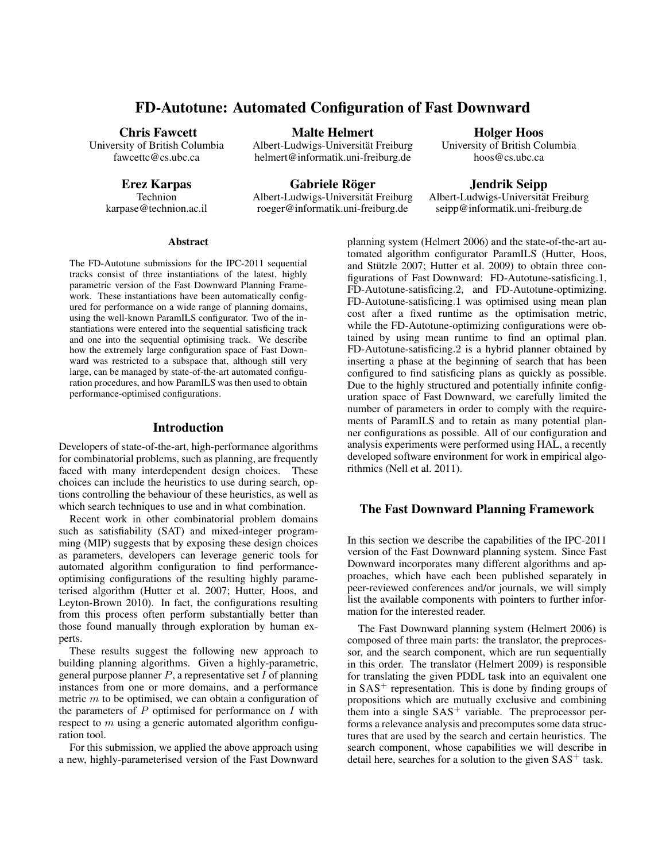# FD-Autotune: Automated Configuration of Fast Downward

#### Chris Fawcett

University of British Columbia fawcettc@cs.ubc.ca

Erez Karpas

Technion karpase@technion.ac.il

Malte Helmert

Albert-Ludwigs-Universität Freiburg helmert@informatik.uni-freiburg.de

Gabriele Röger Albert-Ludwigs-Universitat Freiburg ¨ roeger@informatik.uni-freiburg.de

# Holger Hoos

University of British Columbia hoos@cs.ubc.ca

Jendrik Seipp

Albert-Ludwigs-Universität Freiburg seipp@informatik.uni-freiburg.de

### Abstract

The FD-Autotune submissions for the IPC-2011 sequential tracks consist of three instantiations of the latest, highly parametric version of the Fast Downward Planning Framework. These instantiations have been automatically configured for performance on a wide range of planning domains, using the well-known ParamILS configurator. Two of the instantiations were entered into the sequential satisficing track and one into the sequential optimising track. We describe how the extremely large configuration space of Fast Downward was restricted to a subspace that, although still very large, can be managed by state-of-the-art automated configuration procedures, and how ParamILS was then used to obtain performance-optimised configurations.

# Introduction

Developers of state-of-the-art, high-performance algorithms for combinatorial problems, such as planning, are frequently faced with many interdependent design choices. These choices can include the heuristics to use during search, options controlling the behaviour of these heuristics, as well as which search techniques to use and in what combination.

Recent work in other combinatorial problem domains such as satisfiability (SAT) and mixed-integer programming (MIP) suggests that by exposing these design choices as parameters, developers can leverage generic tools for automated algorithm configuration to find performanceoptimising configurations of the resulting highly parameterised algorithm (Hutter et al. 2007; Hutter, Hoos, and Leyton-Brown 2010). In fact, the configurations resulting from this process often perform substantially better than those found manually through exploration by human experts.

These results suggest the following new approach to building planning algorithms. Given a highly-parametric, general purpose planner  $P$ , a representative set  $I$  of planning instances from one or more domains, and a performance metric  $m$  to be optimised, we can obtain a configuration of the parameters of  $P$  optimised for performance on  $I$  with respect to  $m$  using a generic automated algorithm configuration tool.

For this submission, we applied the above approach using a new, highly-parameterised version of the Fast Downward planning system (Helmert 2006) and the state-of-the-art automated algorithm configurator ParamILS (Hutter, Hoos, and Stützle 2007; Hutter et al. 2009) to obtain three configurations of Fast Downward: FD-Autotune-satisficing.1, FD-Autotune-satisficing.2, and FD-Autotune-optimizing. FD-Autotune-satisficing.1 was optimised using mean plan cost after a fixed runtime as the optimisation metric, while the FD-Autotune-optimizing configurations were obtained by using mean runtime to find an optimal plan. FD-Autotune-satisficing.2 is a hybrid planner obtained by inserting a phase at the beginning of search that has been configured to find satisficing plans as quickly as possible. Due to the highly structured and potentially infinite configuration space of Fast Downward, we carefully limited the number of parameters in order to comply with the requirements of ParamILS and to retain as many potential planner configurations as possible. All of our configuration and analysis experiments were performed using HAL, a recently developed software environment for work in empirical algorithmics (Nell et al. 2011).

# The Fast Downward Planning Framework

In this section we describe the capabilities of the IPC-2011 version of the Fast Downward planning system. Since Fast Downward incorporates many different algorithms and approaches, which have each been published separately in peer-reviewed conferences and/or journals, we will simply list the available components with pointers to further information for the interested reader.

The Fast Downward planning system (Helmert 2006) is composed of three main parts: the translator, the preprocessor, and the search component, which are run sequentially in this order. The translator (Helmert 2009) is responsible for translating the given PDDL task into an equivalent one in  $SAS^+$  representation. This is done by finding groups of propositions which are mutually exclusive and combining them into a single  $SAS^+$  variable. The preprocessor performs a relevance analysis and precomputes some data structures that are used by the search and certain heuristics. The search component, whose capabilities we will describe in detail here, searches for a solution to the given  $SAS<sup>+</sup>$  task.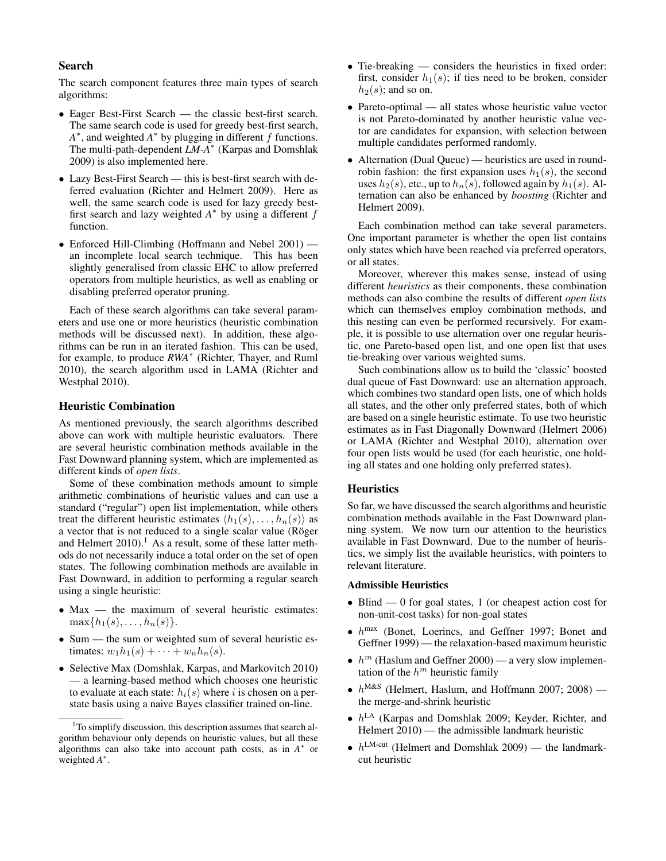### Search

The search component features three main types of search algorithms:

- Eager Best-First Search the classic best-first search. The same search code is used for greedy best-first search,  $A^*$ , and weighted  $A^*$  by plugging in different f functions. The multi-path-dependent *LM-A*<sup>∗</sup> (Karpas and Domshlak 2009) is also implemented here.
- Lazy Best-First Search this is best-first search with deferred evaluation (Richter and Helmert 2009). Here as well, the same search code is used for lazy greedy bestfirst search and lazy weighted  $A^*$  by using a different  $f$ function.
- Enforced Hill-Climbing (Hoffmann and Nebel 2001) an incomplete local search technique. This has been slightly generalised from classic EHC to allow preferred operators from multiple heuristics, as well as enabling or disabling preferred operator pruning.

Each of these search algorithms can take several parameters and use one or more heuristics (heuristic combination methods will be discussed next). In addition, these algorithms can be run in an iterated fashion. This can be used, for example, to produce *RWA*<sup>∗</sup> (Richter, Thayer, and Ruml 2010), the search algorithm used in LAMA (Richter and Westphal 2010).

#### Heuristic Combination

As mentioned previously, the search algorithms described above can work with multiple heuristic evaluators. There are several heuristic combination methods available in the Fast Downward planning system, which are implemented as different kinds of *open lists*.

Some of these combination methods amount to simple arithmetic combinations of heuristic values and can use a standard ("regular") open list implementation, while others treat the different heuristic estimates  $\langle h_1(s), \ldots, h_n(s) \rangle$  as a vector that is not reduced to a single scalar value (Röger and Helmert  $2010$ .<sup>1</sup> As a result, some of these latter methods do not necessarily induce a total order on the set of open states. The following combination methods are available in Fast Downward, in addition to performing a regular search using a single heuristic:

- Max the maximum of several heuristic estimates:  $\max\{h_1(s), \ldots, h_n(s)\}.$
- Sum the sum or weighted sum of several heuristic estimates:  $w_1h_1(s) + \cdots + w_nh_n(s)$ .
- Selective Max (Domshlak, Karpas, and Markovitch 2010) — a learning-based method which chooses one heuristic to evaluate at each state:  $h_i(s)$  where i is chosen on a perstate basis using a naive Bayes classifier trained on-line.
- Tie-breaking considers the heuristics in fixed order: first, consider  $h_1(s)$ ; if ties need to be broken, consider  $h_2(s)$ ; and so on.
- Pareto-optimal all states whose heuristic value vector is not Pareto-dominated by another heuristic value vector are candidates for expansion, with selection between multiple candidates performed randomly.
- Alternation (Dual Queue) heuristics are used in roundrobin fashion: the first expansion uses  $h_1(s)$ , the second uses  $h_2(s)$ , etc., up to  $h_n(s)$ , followed again by  $h_1(s)$ . Alternation can also be enhanced by *boosting* (Richter and Helmert 2009).

Each combination method can take several parameters. One important parameter is whether the open list contains only states which have been reached via preferred operators, or all states.

Moreover, wherever this makes sense, instead of using different *heuristics* as their components, these combination methods can also combine the results of different *open lists* which can themselves employ combination methods, and this nesting can even be performed recursively. For example, it is possible to use alternation over one regular heuristic, one Pareto-based open list, and one open list that uses tie-breaking over various weighted sums.

Such combinations allow us to build the 'classic' boosted dual queue of Fast Downward: use an alternation approach, which combines two standard open lists, one of which holds all states, and the other only preferred states, both of which are based on a single heuristic estimate. To use two heuristic estimates as in Fast Diagonally Downward (Helmert 2006) or LAMA (Richter and Westphal 2010), alternation over four open lists would be used (for each heuristic, one holding all states and one holding only preferred states).

#### **Heuristics**

So far, we have discussed the search algorithms and heuristic combination methods available in the Fast Downward planning system. We now turn our attention to the heuristics available in Fast Downward. Due to the number of heuristics, we simply list the available heuristics, with pointers to relevant literature.

#### Admissible Heuristics

- Blind 0 for goal states, 1 (or cheapest action cost for non-unit-cost tasks) for non-goal states
- $\bullet$   $h^{\text{max}}$  (Bonet, Loerincs, and Geffner 1997; Bonet and Geffner 1999) — the relaxation-based maximum heuristic
- $h^m$  (Haslum and Geffner 2000) a very slow implementation of the  $h^m$  heuristic family
- $h^{\text{M&S}}$  (Helmert, Haslum, and Hoffmann 2007; 2008) the merge-and-shrink heuristic
- $\bullet$   $h^{\text{LA}}$  (Karpas and Domshlak 2009; Keyder, Richter, and Helmert  $2010$  — the admissible landmark heuristic
- $h^{\text{LM-cut}}$  (Helmert and Domshlak 2009) the landmarkcut heuristic

<sup>&</sup>lt;sup>1</sup>To simplify discussion, this description assumes that search algorithm behaviour only depends on heuristic values, but all these algorithms can also take into account path costs, as in  $A^*$  or weighted *A* ∗ .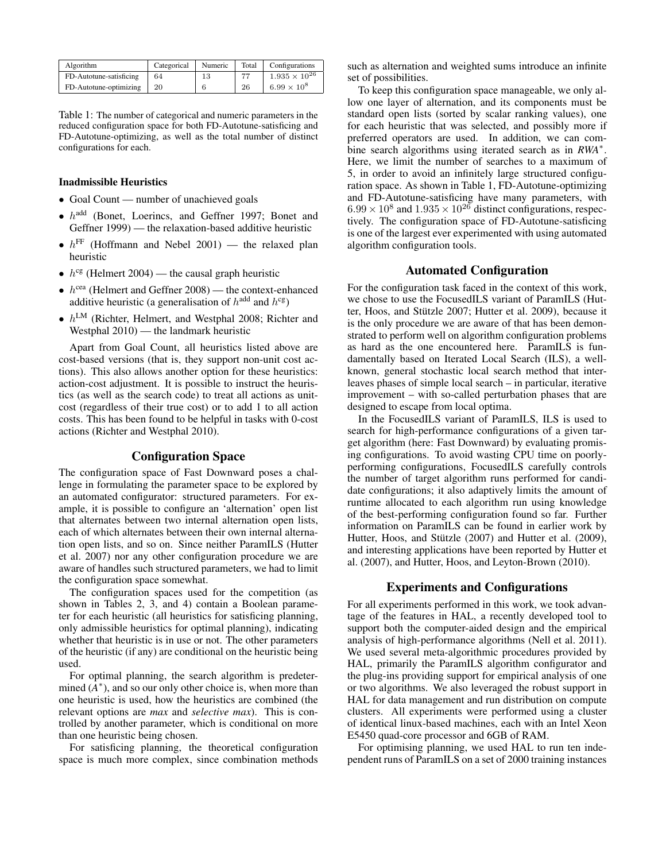| Algorithm               | Categorical | Numeric | Total | Configurations         |
|-------------------------|-------------|---------|-------|------------------------|
| FD-Autotune-satisficing | 64          | 13      | 77    | $1.935 \times 10^{26}$ |
| FD-Autotune-optimizing  | 20          |         | 26    | $6.99 \times 10^8$     |

Table 1: The number of categorical and numeric parameters in the reduced configuration space for both FD-Autotune-satisficing and FD-Autotune-optimizing, as well as the total number of distinct configurations for each.

#### Inadmissible Heuristics

- Goal Count number of unachieved goals
- $\bullet$   $h^{\text{add}}$  (Bonet, Loerincs, and Geffner 1997; Bonet and Geffner 1999) — the relaxation-based additive heuristic
- $h^{\text{FF}}$  (Hoffmann and Nebel 2001) the relaxed plan heuristic
- $h^{cg}$  (Helmert 2004) the causal graph heuristic
- $h^{\text{cea}}$  (Helmert and Geffner 2008) the context-enhanced additive heuristic (a generalisation of  $h^{\text{add}}$  and  $h^{\text{cg}}$ )
- $h^{\text{LM}}$  (Richter, Helmert, and Westphal 2008; Richter and Westphal 2010) — the landmark heuristic

Apart from Goal Count, all heuristics listed above are cost-based versions (that is, they support non-unit cost actions). This also allows another option for these heuristics: action-cost adjustment. It is possible to instruct the heuristics (as well as the search code) to treat all actions as unitcost (regardless of their true cost) or to add 1 to all action costs. This has been found to be helpful in tasks with 0-cost actions (Richter and Westphal 2010).

# Configuration Space

The configuration space of Fast Downward poses a challenge in formulating the parameter space to be explored by an automated configurator: structured parameters. For example, it is possible to configure an 'alternation' open list that alternates between two internal alternation open lists, each of which alternates between their own internal alternation open lists, and so on. Since neither ParamILS (Hutter et al. 2007) nor any other configuration procedure we are aware of handles such structured parameters, we had to limit the configuration space somewhat.

The configuration spaces used for the competition (as shown in Tables 2, 3, and 4) contain a Boolean parameter for each heuristic (all heuristics for satisficing planning, only admissible heuristics for optimal planning), indicating whether that heuristic is in use or not. The other parameters of the heuristic (if any) are conditional on the heuristic being used.

For optimal planning, the search algorithm is predetermined  $(A^*)$ , and so our only other choice is, when more than one heuristic is used, how the heuristics are combined (the relevant options are *max* and *selective max*). This is controlled by another parameter, which is conditional on more than one heuristic being chosen.

For satisficing planning, the theoretical configuration space is much more complex, since combination methods

such as alternation and weighted sums introduce an infinite set of possibilities.

To keep this configuration space manageable, we only allow one layer of alternation, and its components must be standard open lists (sorted by scalar ranking values), one for each heuristic that was selected, and possibly more if preferred operators are used. In addition, we can combine search algorithms using iterated search as in *RWA*<sup>∗</sup> . Here, we limit the number of searches to a maximum of 5, in order to avoid an infinitely large structured configuration space. As shown in Table 1, FD-Autotune-optimizing and FD-Autotune-satisficing have many parameters, with  $6.99 \times 10^8$  and  $1.935 \times 10^{26}$  distinct configurations, respectively. The configuration space of FD-Autotune-satisficing is one of the largest ever experimented with using automated algorithm configuration tools.

# Automated Configuration

For the configuration task faced in the context of this work, we chose to use the FocusedILS variant of ParamILS (Hutter, Hoos, and Stützle 2007; Hutter et al. 2009), because it is the only procedure we are aware of that has been demonstrated to perform well on algorithm configuration problems as hard as the one encountered here. ParamILS is fundamentally based on Iterated Local Search (ILS), a wellknown, general stochastic local search method that interleaves phases of simple local search – in particular, iterative improvement – with so-called perturbation phases that are designed to escape from local optima.

In the FocusedILS variant of ParamILS, ILS is used to search for high-performance configurations of a given target algorithm (here: Fast Downward) by evaluating promising configurations. To avoid wasting CPU time on poorlyperforming configurations, FocusedILS carefully controls the number of target algorithm runs performed for candidate configurations; it also adaptively limits the amount of runtime allocated to each algorithm run using knowledge of the best-performing configuration found so far. Further information on ParamILS can be found in earlier work by Hutter, Hoos, and Stützle (2007) and Hutter et al. (2009), and interesting applications have been reported by Hutter et al. (2007), and Hutter, Hoos, and Leyton-Brown (2010).

# Experiments and Configurations

For all experiments performed in this work, we took advantage of the features in HAL, a recently developed tool to support both the computer-aided design and the empirical analysis of high-performance algorithms (Nell et al. 2011). We used several meta-algorithmic procedures provided by HAL, primarily the ParamILS algorithm configurator and the plug-ins providing support for empirical analysis of one or two algorithms. We also leveraged the robust support in HAL for data management and run distribution on compute clusters. All experiments were performed using a cluster of identical linux-based machines, each with an Intel Xeon E5450 quad-core processor and 6GB of RAM.

For optimising planning, we used HAL to run ten independent runs of ParamILS on a set of 2000 training instances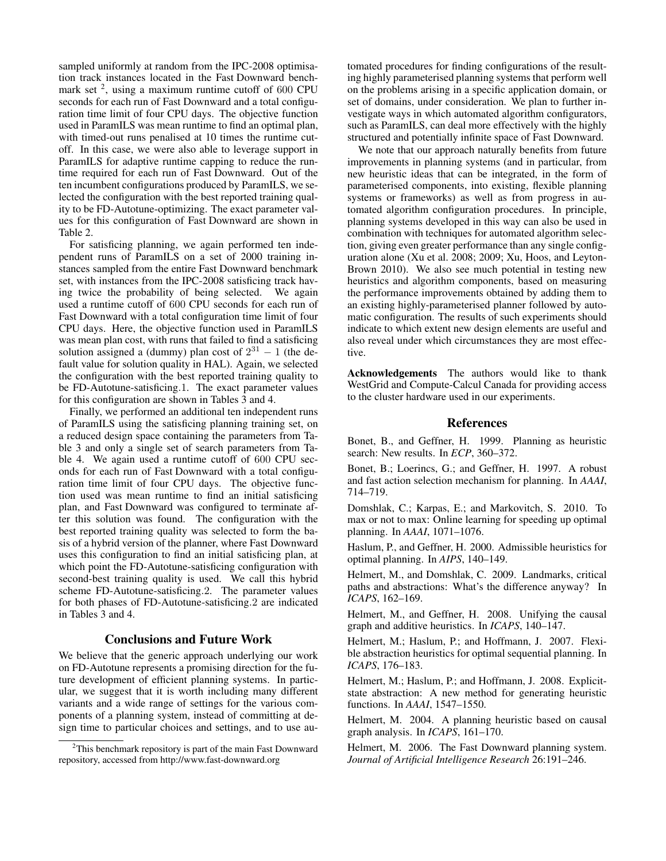sampled uniformly at random from the IPC-2008 optimisation track instances located in the Fast Downward benchmark set  $2$ , using a maximum runtime cutoff of 600 CPU seconds for each run of Fast Downward and a total configuration time limit of four CPU days. The objective function used in ParamILS was mean runtime to find an optimal plan, with timed-out runs penalised at 10 times the runtime cutoff. In this case, we were also able to leverage support in ParamILS for adaptive runtime capping to reduce the runtime required for each run of Fast Downward. Out of the ten incumbent configurations produced by ParamILS, we selected the configuration with the best reported training quality to be FD-Autotune-optimizing. The exact parameter values for this configuration of Fast Downward are shown in Table 2.

For satisficing planning, we again performed ten independent runs of ParamILS on a set of 2000 training instances sampled from the entire Fast Downward benchmark set, with instances from the IPC-2008 satisficing track having twice the probability of being selected. We again used a runtime cutoff of 600 CPU seconds for each run of Fast Downward with a total configuration time limit of four CPU days. Here, the objective function used in ParamILS was mean plan cost, with runs that failed to find a satisficing solution assigned a (dummy) plan cost of  $2^{31} - 1$  (the default value for solution quality in HAL). Again, we selected the configuration with the best reported training quality to be FD-Autotune-satisficing.1. The exact parameter values for this configuration are shown in Tables 3 and 4.

Finally, we performed an additional ten independent runs of ParamILS using the satisficing planning training set, on a reduced design space containing the parameters from Table 3 and only a single set of search parameters from Table 4. We again used a runtime cutoff of 600 CPU seconds for each run of Fast Downward with a total configuration time limit of four CPU days. The objective function used was mean runtime to find an initial satisficing plan, and Fast Downward was configured to terminate after this solution was found. The configuration with the best reported training quality was selected to form the basis of a hybrid version of the planner, where Fast Downward uses this configuration to find an initial satisficing plan, at which point the FD-Autotune-satisficing configuration with second-best training quality is used. We call this hybrid scheme FD-Autotune-satisficing.2. The parameter values for both phases of FD-Autotune-satisficing.2 are indicated in Tables 3 and 4.

### Conclusions and Future Work

We believe that the generic approach underlying our work on FD-Autotune represents a promising direction for the future development of efficient planning systems. In particular, we suggest that it is worth including many different variants and a wide range of settings for the various components of a planning system, instead of committing at design time to particular choices and settings, and to use au-

tomated procedures for finding configurations of the resulting highly parameterised planning systems that perform well on the problems arising in a specific application domain, or set of domains, under consideration. We plan to further investigate ways in which automated algorithm configurators, such as ParamILS, can deal more effectively with the highly structured and potentially infinite space of Fast Downward.

We note that our approach naturally benefits from future improvements in planning systems (and in particular, from new heuristic ideas that can be integrated, in the form of parameterised components, into existing, flexible planning systems or frameworks) as well as from progress in automated algorithm configuration procedures. In principle, planning systems developed in this way can also be used in combination with techniques for automated algorithm selection, giving even greater performance than any single configuration alone (Xu et al. 2008; 2009; Xu, Hoos, and Leyton-Brown 2010). We also see much potential in testing new heuristics and algorithm components, based on measuring the performance improvements obtained by adding them to an existing highly-parameterised planner followed by automatic configuration. The results of such experiments should indicate to which extent new design elements are useful and also reveal under which circumstances they are most effective.

Acknowledgements The authors would like to thank WestGrid and Compute-Calcul Canada for providing access to the cluster hardware used in our experiments.

### References

Bonet, B., and Geffner, H. 1999. Planning as heuristic search: New results. In *ECP*, 360–372.

Bonet, B.; Loerincs, G.; and Geffner, H. 1997. A robust and fast action selection mechanism for planning. In *AAAI*, 714–719.

Domshlak, C.; Karpas, E.; and Markovitch, S. 2010. To max or not to max: Online learning for speeding up optimal planning. In *AAAI*, 1071–1076.

Haslum, P., and Geffner, H. 2000. Admissible heuristics for optimal planning. In *AIPS*, 140–149.

Helmert, M., and Domshlak, C. 2009. Landmarks, critical paths and abstractions: What's the difference anyway? In *ICAPS*, 162–169.

Helmert, M., and Geffner, H. 2008. Unifying the causal graph and additive heuristics. In *ICAPS*, 140–147.

Helmert, M.; Haslum, P.; and Hoffmann, J. 2007. Flexible abstraction heuristics for optimal sequential planning. In *ICAPS*, 176–183.

Helmert, M.; Haslum, P.; and Hoffmann, J. 2008. Explicitstate abstraction: A new method for generating heuristic functions. In *AAAI*, 1547–1550.

Helmert, M. 2004. A planning heuristic based on causal graph analysis. In *ICAPS*, 161–170.

Helmert, M. 2006. The Fast Downward planning system. *Journal of Artificial Intelligence Research* 26:191–246.

<sup>&</sup>lt;sup>2</sup>This benchmark repository is part of the main Fast Downward repository, accessed from http://www.fast-downward.org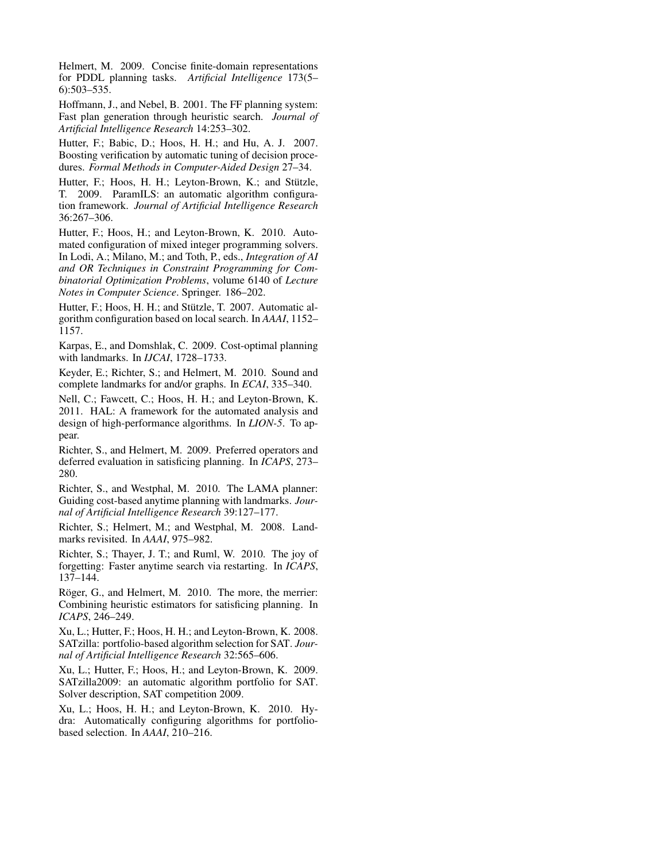Helmert, M. 2009. Concise finite-domain representations for PDDL planning tasks. *Artificial Intelligence* 173(5– 6):503–535.

Hoffmann, J., and Nebel, B. 2001. The FF planning system: Fast plan generation through heuristic search. *Journal of Artificial Intelligence Research* 14:253–302.

Hutter, F.; Babic, D.; Hoos, H. H.; and Hu, A. J. 2007. Boosting verification by automatic tuning of decision procedures. *Formal Methods in Computer-Aided Design* 27–34.

Hutter, F.; Hoos, H. H.; Leyton-Brown, K.; and Stützle, T. 2009. ParamILS: an automatic algorithm configuration framework. *Journal of Artificial Intelligence Research* 36:267–306.

Hutter, F.; Hoos, H.; and Leyton-Brown, K. 2010. Automated configuration of mixed integer programming solvers. In Lodi, A.; Milano, M.; and Toth, P., eds., *Integration of AI and OR Techniques in Constraint Programming for Combinatorial Optimization Problems*, volume 6140 of *Lecture Notes in Computer Science*. Springer. 186–202.

Hutter, F.; Hoos, H. H.; and Stützle, T. 2007. Automatic algorithm configuration based on local search. In *AAAI*, 1152– 1157.

Karpas, E., and Domshlak, C. 2009. Cost-optimal planning with landmarks. In *IJCAI*, 1728–1733.

Keyder, E.; Richter, S.; and Helmert, M. 2010. Sound and complete landmarks for and/or graphs. In *ECAI*, 335–340.

Nell, C.; Fawcett, C.; Hoos, H. H.; and Leyton-Brown, K. 2011. HAL: A framework for the automated analysis and design of high-performance algorithms. In *LION-5*. To appear.

Richter, S., and Helmert, M. 2009. Preferred operators and deferred evaluation in satisficing planning. In *ICAPS*, 273– 280.

Richter, S., and Westphal, M. 2010. The LAMA planner: Guiding cost-based anytime planning with landmarks. *Journal of Artificial Intelligence Research* 39:127–177.

Richter, S.; Helmert, M.; and Westphal, M. 2008. Landmarks revisited. In *AAAI*, 975–982.

Richter, S.; Thayer, J. T.; and Ruml, W. 2010. The joy of forgetting: Faster anytime search via restarting. In *ICAPS*, 137–144.

Röger, G., and Helmert, M. 2010. The more, the merrier: Combining heuristic estimators for satisficing planning. In *ICAPS*, 246–249.

Xu, L.; Hutter, F.; Hoos, H. H.; and Leyton-Brown, K. 2008. SATzilla: portfolio-based algorithm selection for SAT. *Journal of Artificial Intelligence Research* 32:565–606.

Xu, L.; Hutter, F.; Hoos, H.; and Leyton-Brown, K. 2009. SATzilla2009: an automatic algorithm portfolio for SAT. Solver description, SAT competition 2009.

Xu, L.; Hoos, H. H.; and Leyton-Brown, K. 2010. Hydra: Automatically configuring algorithms for portfoliobased selection. In *AAAI*, 210–216.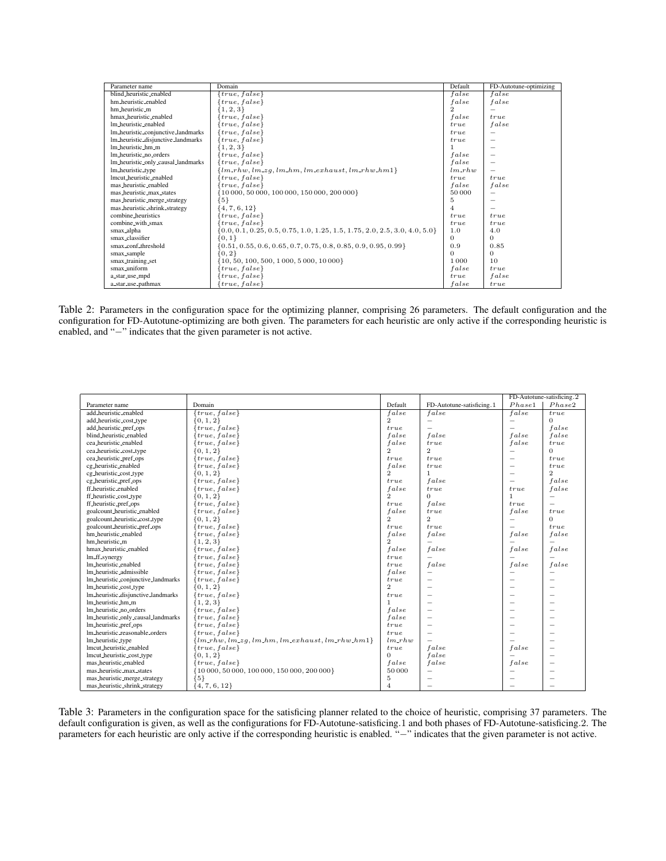| Parameter name                     | Domain                                                                         | Default  | FD-Autotune-optimizing |
|------------------------------------|--------------------------------------------------------------------------------|----------|------------------------|
| blind_heuristic_enabled            | ${true, false}$                                                                | false    | false                  |
| hm_heuristic_enabled               | ${true, false}$                                                                | false    | false                  |
| hm_heuristic_m                     | ${1, 2, 3}$                                                                    |          |                        |
| hmax heuristic enabled             | ${true, false}$                                                                | false    | true                   |
| Im_heuristic_enabled               | ${true, false}$                                                                | true     | false                  |
| Im_heuristic_conjunctive_landmarks | ${true, false}$                                                                | true     |                        |
| Im_heuristic_disjunctive_landmarks | ${true, false}$                                                                | true     |                        |
| lm_heuristic_hm_m                  | ${1, 2, 3}$                                                                    |          |                        |
| lm_heuristic_no_orders             | ${true, false}$                                                                | false    |                        |
| Im_heuristic_only_causal_landmarks | ${true, false}$                                                                | false    |                        |
| lm_heuristic_type                  | ${lm_rhw, lm_zg, lm_hm, lm_exhaust, lm_rhw_hm1}$                               | $lm_rhw$ |                        |
| lmcut heuristic enabled            | ${true, false}$                                                                | true     | true                   |
| mas_heuristic_enabled              | ${true, false}$                                                                | false    | false                  |
| mas_heuristic_max_states           | {10 000, 50 000, 100 000, 150 000, 200 000}                                    | 50 000   |                        |
| mas_heuristic_merge_strategy       | ${5}$                                                                          | 5        |                        |
| mas_heuristic_shrink_strategy      | $\{4, 7, 6, 12\}$                                                              | 4        |                        |
| combine heuristics                 | ${true, false}$                                                                | true     | true                   |
| combine_with_smax                  | ${true, false}$                                                                | true     | true                   |
| smax_alpha                         | $\{0.0, 0.1, 0.25, 0.5, 0.75, 1.0, 1.25, 1.5, 1.75, 2.0, 2.5, 3.0, 4.0, 5.0\}$ | 1.0      | 4.0                    |
| smax_classifier                    | ${0,1}$                                                                        | $\Omega$ | $\Omega$               |
| smax_conf_threshold                | $\{0.51, 0.55, 0.6, 0.65, 0.7, 0.75, 0.8, 0.85, 0.9, 0.95, 0.99\}$             | 0.9      | 0.85                   |
| smax_sample                        | ${0, 2}$                                                                       | $\Omega$ | $\Omega$               |
| smax_training_set                  | $\{10, 50, 100, 500, 1000, 5000, 10000\}$                                      | 1 0 0 0  | 10                     |
| smax_uniform                       | ${true, false}$                                                                | false    | true                   |
| a_star_use_mpd                     | ${true, false}$                                                                | true     | false                  |
| a_star_use_pathmax                 | ${true, false}$                                                                | false    | true                   |

Table 2: Parameters in the configuration space for the optimizing planner, comprising 26 parameters. The default configuration and the configuration for FD-Autotune-optimizing are both given. The parameters for each heuristic are only active if the corresponding heuristic is enabled, and "−" indicates that the given parameter is not active.

| Default<br>Phase1<br>Phase2<br>Domain<br>FD-Autotune-satisficing.1<br>Parameter name<br>add heuristic enabled<br>${true, false}$<br>false<br>false<br>false<br>true<br>$\overline{2}$<br>${0, 1, 2}$<br>add_heuristic_cost_type<br>$\Omega$ |
|---------------------------------------------------------------------------------------------------------------------------------------------------------------------------------------------------------------------------------------------|
|                                                                                                                                                                                                                                             |
|                                                                                                                                                                                                                                             |
|                                                                                                                                                                                                                                             |
| add_heuristic_pref_ops<br>false<br>${true, false}$<br>true                                                                                                                                                                                  |
| blind_heuristic_enabled<br>${true, false}$<br>false<br>false<br>false<br>false                                                                                                                                                              |
| cea_heuristic_enabled<br>${true, false}$<br>false<br>false<br>true<br>true                                                                                                                                                                  |
| $\mathbf{2}$<br>$\overline{2}$<br>cea_heuristic_cost_type<br>${0, 1, 2}$<br>$\Omega$                                                                                                                                                        |
| cea_heuristic_pref_ops<br>${true, false}$<br>true<br>true<br>true<br>-                                                                                                                                                                      |
| cg_heuristic_enabled<br>${true, false}$<br>false<br>true<br>true                                                                                                                                                                            |
| $\overline{2}$<br>$\overline{2}$<br>$\mathbf{1}$<br>cg_heuristic_cost_type<br>$\{0, 1, 2\}$                                                                                                                                                 |
| false<br>cg_heuristic_pref_ops<br>${true, false}$<br>false<br>true                                                                                                                                                                          |
| ff_heuristic_enabled<br>false<br>false<br>${true, false}$<br>true<br>true                                                                                                                                                                   |
| $\overline{2}$<br>${0, 1, 2}$<br>$\Omega$<br>ff_heuristic_cost_type<br>-1                                                                                                                                                                   |
| false<br>ff_heuristic_pref_ops<br>${true, false}$<br>true<br>true                                                                                                                                                                           |
| goalcount_heuristic_enabled<br>${true, false}$<br>false<br>false<br>true<br>true                                                                                                                                                            |
| $\mathcal{D}$<br>$\overline{2}$<br>goalcount_heuristic_cost_type<br>${0, 1, 2}$<br>$\Omega$                                                                                                                                                 |
| goalcount_heuristic_pref_ops<br>${true, false}$<br>true<br>true<br>true                                                                                                                                                                     |
| hm_heuristic_enabled<br>false<br>false<br>${true, false}$<br>false<br>false                                                                                                                                                                 |
| $\overline{2}$<br>hm heuristic m<br>${1, 2, 3}$                                                                                                                                                                                             |
| false<br>false<br>hmax_heuristic_enabled<br>${true, false}$<br>false<br>false                                                                                                                                                               |
| lm_ff_synergy<br>$\{true, false\}$<br>true                                                                                                                                                                                                  |
| lm_heuristic_enabled<br>false<br>${true, false}$<br>false<br>false<br>true                                                                                                                                                                  |
| lm_heuristic_admissible<br>${true, false}$<br>false                                                                                                                                                                                         |
| lm_heuristic_conjunctive_landmarks<br>${true, false}$<br>true                                                                                                                                                                               |
| $\overline{2}$<br>lm_heuristic_cost_type<br>${0, 1, 2}$<br>-                                                                                                                                                                                |
| lm_heuristic_disjunctive_landmarks<br>${true, false}$<br>true                                                                                                                                                                               |
| Im heuristic hm m<br>${1, 2, 3}$<br>$\mathbf{1}$                                                                                                                                                                                            |
| lm_heuristic_no_orders<br>${true, false}$<br>false                                                                                                                                                                                          |
| lm_heuristic_only_causal_landmarks<br>false<br>$\{true, false\}$                                                                                                                                                                            |
| lm_heuristic_pref_ops<br>$\{true, false\}$<br>true                                                                                                                                                                                          |
| Im_heuristic_reasonable_orders<br>$\{true, false\}$<br>true                                                                                                                                                                                 |
| lm_heuristic_type<br>${lm_rhw, lm_zq, lm_hm, lm_exhaust, lm_rhw_hm1}$<br>$lm_rhw$                                                                                                                                                           |
| lmcut_heuristic_enabled<br>false<br>${true, false}$<br>false<br>true                                                                                                                                                                        |
| $\Omega$<br>false<br>lmcut_heuristic_cost_type<br>$\{0, 1, 2\}$                                                                                                                                                                             |
| mas_heuristic_enabled<br>${true, false}$<br>false<br>false<br>false                                                                                                                                                                         |
| mas_heuristic_max_states<br>$\{10000, 50000, 100000, 150000, 200000\}$<br>50000                                                                                                                                                             |
| mas_heuristic_merge_strategy<br>${5}$<br>5                                                                                                                                                                                                  |
| mas_heuristic_shrink_strategy<br>$\{4, 7, 6, 12\}$<br>$\overline{4}$                                                                                                                                                                        |

Table 3: Parameters in the configuration space for the satisficing planner related to the choice of heuristic, comprising 37 parameters. The default configuration is given, as well as the configurations for FD-Autotune-satisficing.1 and both phases of FD-Autotune-satisficing.2. The parameters for each heuristic are only active if the corresponding heuristic is enabled. "−" indicates that the given parameter is not active.